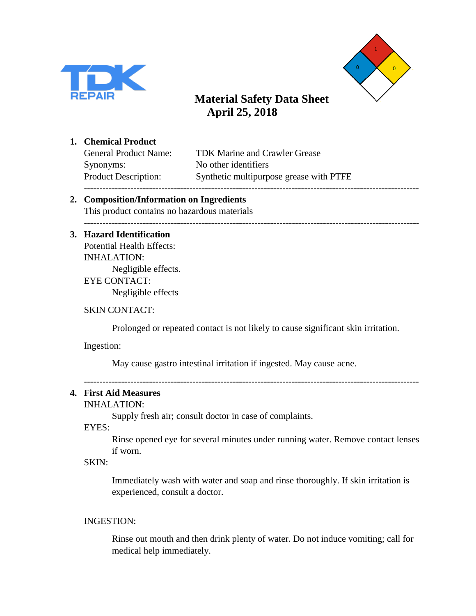



#### **1. Chemical Product**

Synonyms: No other identifiers

General Product Name: TDK Marine and Crawler Grease Product Description: Synthetic multipurpose grease with PTFE ------------------------------------------------------------------------------------------------------------

## **2. Composition/Information on Ingredients**

This product contains no hazardous materials

#### ------------------------------------------------------------------------------------------------------------

#### **3. Hazard Identification**

Potential Health Effects: INHALATION: Negligible effects. EYE CONTACT: Negligible effects

#### SKIN CONTACT:

Prolonged or repeated contact is not likely to cause significant skin irritation.

Ingestion:

May cause gastro intestinal irritation if ingested. May cause acne.

------------------------------------------------------------------------------------------------------------

#### **4. First Aid Measures**

INHALATION:

Supply fresh air; consult doctor in case of complaints.

EYES:

Rinse opened eye for several minutes under running water. Remove contact lenses if worn.

SKIN:

Immediately wash with water and soap and rinse thoroughly. If skin irritation is experienced, consult a doctor.

#### INGESTION:

Rinse out mouth and then drink plenty of water. Do not induce vomiting; call for medical help immediately.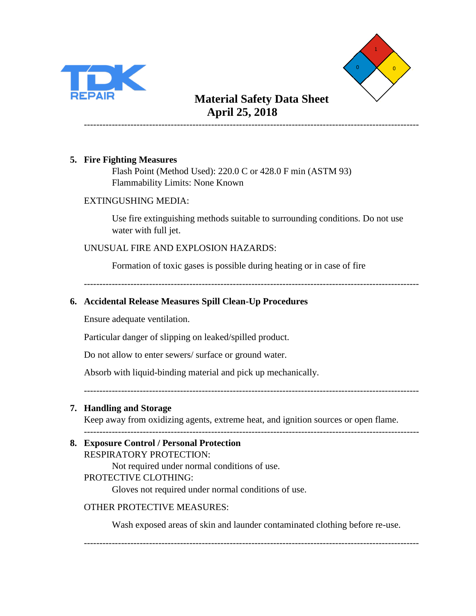



------------------------------------------------------------------------------------------------------------

#### **5. Fire Fighting Measures**

Flash Point (Method Used): 220.0 C or 428.0 F min (ASTM 93) Flammability Limits: None Known

#### EXTINGUSHING MEDIA:

Use fire extinguishing methods suitable to surrounding conditions. Do not use water with full jet.

#### UNUSUAL FIRE AND EXPLOSION HAZARDS:

Formation of toxic gases is possible during heating or in case of fire

------------------------------------------------------------------------------------------------------------

#### **6. Accidental Release Measures Spill Clean-Up Procedures**

Ensure adequate ventilation.

Particular danger of slipping on leaked/spilled product.

Do not allow to enter sewers/ surface or ground water.

Absorb with liquid-binding material and pick up mechanically.

------------------------------------------------------------------------------------------------------------

#### **7. Handling and Storage**

Keep away from oxidizing agents, extreme heat, and ignition sources or open flame.

------------------------------------------------------------------------------------------------------------

# **8. Exposure Control / Personal Protection**

RESPIRATORY PROTECTION:

Not required under normal conditions of use.

#### PROTECTIVE CLOTHING:

Gloves not required under normal conditions of use.

#### OTHER PROTECTIVE MEASURES:

Wash exposed areas of skin and launder contaminated clothing before re-use.

------------------------------------------------------------------------------------------------------------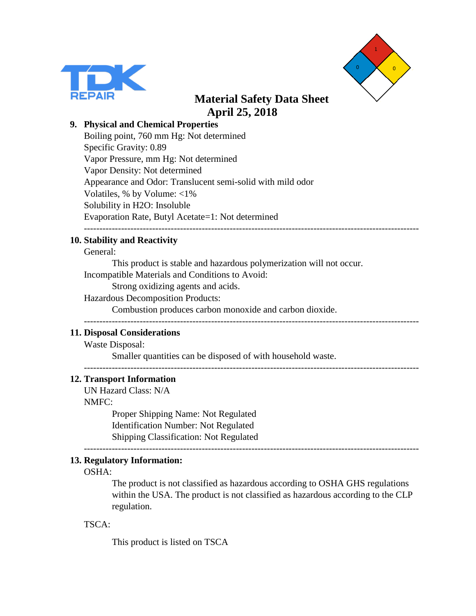



#### **9. Physical and Chemical Properties**

Boiling point, 760 mm Hg: Not determined Specific Gravity: 0.89 Vapor Pressure, mm Hg: Not determined Vapor Density: Not determined Appearance and Odor: Translucent semi-solid with mild odor Volatiles, % by Volume: <1% Solubility in H2O: Insoluble Evaporation Rate, Butyl Acetate=1: Not determined ------------------------------------------------------------------------------------------------------------

#### **10. Stability and Reactivity**

#### General:

This product is stable and hazardous polymerization will not occur. Incompatible Materials and Conditions to Avoid:

Strong oxidizing agents and acids.

Hazardous Decomposition Products:

Combustion produces carbon monoxide and carbon dioxide.

------------------------------------------------------------------------------------------------------------

------------------------------------------------------------------------------------------------------------

------------------------------------------------------------------------------------------------------------

#### **11. Disposal Considerations**

Waste Disposal:

Smaller quantities can be disposed of with household waste.

#### **12. Transport Information**

UN Hazard Class: N/A

#### NMFC:

Proper Shipping Name: Not Regulated Identification Number: Not Regulated Shipping Classification: Not Regulated

#### **13. Regulatory Information:**

#### OSHA:

The product is not classified as hazardous according to OSHA GHS regulations within the USA. The product is not classified as hazardous according to the CLP regulation.

#### TSCA:

This product is listed on TSCA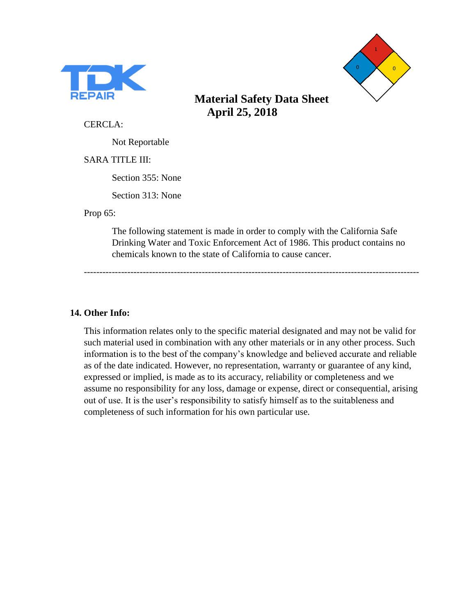



CERCLA:

Not Reportable

SARA TITLE III:

Section 355: None

Section 313: None

Prop 65:

The following statement is made in order to comply with the California Safe Drinking Water and Toxic Enforcement Act of 1986. This product contains no chemicals known to the state of California to cause cancer.

------------------------------------------------------------------------------------------------------------

**14. Other Info:**

This information relates only to the specific material designated and may not be valid for such material used in combination with any other materials or in any other process. Such information is to the best of the company's knowledge and believed accurate and reliable as of the date indicated. However, no representation, warranty or guarantee of any kind, expressed or implied, is made as to its accuracy, reliability or completeness and we assume no responsibility for any loss, damage or expense, direct or consequential, arising out of use. It is the user's responsibility to satisfy himself as to the suitableness and completeness of such information for his own particular use.